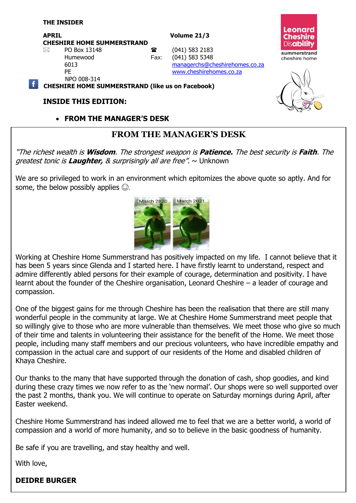**APRIL Volume 21/3 CHESHIRE HOME SUMMERSTRAND**  $\boxtimes$  PO Box 13148 **a** (041) 583 2183

Humewood Fax: (041) 583 5348 6013 [managerchs@cheshirehomes.co.za](mailto:managerchs@cheshirehomes.co.za)

PE [www.cheshirehomes.co.za](http://www.cheshirehomes.co.za/) NPO 008-314

**CHESHIRE HOME SUMMERSTRAND (like us on Facebook)**

#### **INSIDE THIS EDITION:**

**FROM THE MANAGER'S DESK**

## **FROM THE MANAGER'S DESK**

"The richest wealth is **Wisdom**. The strongest weapon is **Patience.** The best security is **Faith**. The greatest tonic is **Laughter,** & surprisingly all are free". ~ Unknown

We are so privileged to work in an environment which epitomizes the above quote so aptly. And for some, the below possibly applies  $\odot$ .

Working at Cheshire Home Summerstrand has positively impacted on my life. I cannot believe that it has been 5 years since Glenda and I started here. I have firstly learnt to understand, respect and admire differently abled persons for their example of courage, determination and positivity. I have learnt about the founder of the Cheshire organisation, Leonard Cheshire – a leader of courage and compassion.

One of the biggest gains for me through Cheshire has been the realisation that there are still many wonderful people in the community at large. We at Cheshire Home Summerstrand meet people that so willingly give to those who are more vulnerable than themselves. We meet those who give so much of their time and talents in volunteering their assistance for the benefit of the Home. We meet those people, including many staff members and our precious volunteers, who have incredible empathy and compassion in the actual care and support of our residents of the Home and disabled children of Khaya Cheshire.

Our thanks to the many that have supported through the donation of cash, shop goodies, and kind during these crazy times we now refer to as the 'new normal'. Our shops were so well supported over the past 2 months, thank you. We will continue to operate on Saturday mornings during April, after Easter weekend.

Cheshire Home Summerstrand has indeed allowed me to feel that we are a better world, a world of compassion and a world of more humanity, and so to believe in the basic goodness of humanity.

Be safe if you are travelling, and stay healthy and well.

With love,

#### **DEIDRE BURGER**





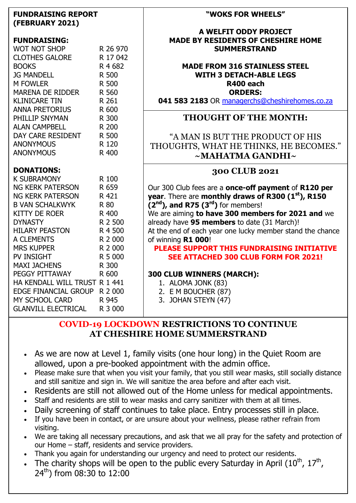| <b>FUNDRAISING REPORT</b><br>(FEBRUARY 2021)                                                                                                                                            |                                                    |
|-----------------------------------------------------------------------------------------------------------------------------------------------------------------------------------------|----------------------------------------------------|
| WUL NOT SHOP<br>CLOTHES GALORE R 17 010<br><b>JG MANDELL</b><br><b>M FOWLER</b><br>MARENA DE RIDDER R 560<br>ANNA PRETORIUS<br>PHII I ID CANO<br>PHILLIP SNYMAN<br><b>ALAN CAMPBELL</b> | R 500<br>R 500<br>R 261<br>R 600<br>R 300<br>R 200 |
| DAY CARE RESIDENT R 500<br><b>ANONYMOUS</b><br><b>ANONYMOUS</b>                                                                                                                         | R 120<br>R 400                                     |
| <b>DONATIONS:</b>                                                                                                                                                                       |                                                    |
| <b>DONATIUNS:</b><br>K SUBRAMONY<br>NG KERK PATERSON<br>NG KERK PATERSON<br>B VAN SCHALKWYK<br><b>KITTY DE ROER</b>                                                                     | R 100<br>R 659<br>R 421<br>R 80<br>R 400           |
| <b>DYNASTY</b><br><b>HILARY PEASTON</b><br>___…run ſS<br>MRS KUPPER<br>PV INSTOUT                                                                                                       | R 2 500<br>R 4 500<br>R 2 000<br>R 2 000           |
| MAXI JACHENS<br>PEGGY PITTAWAY<br>HA KENDALL WILL TRUST R 1 441<br>EDGE FINANCIAL GROUP R 2 000                                                                                         | R 5 000<br>R 300<br>R 600<br>R 945                 |
| MY SCHOOL CARD<br>GLANVILL ELECTRICAL                                                                                                                                                   | R 3 000                                            |

#### **"WOKS FOR WHEELS"**

#### **A WELFIT ODDY PROJECT MADE BY RESIDENTS OF CHESHIRE HOME SUMMERSTRAND**

#### **MADE FROM 316 STAINLESS STEEL WITH 3 DETACH-ABLE LEGS R400 each ORDERS:**

**041 583 2183** OR [managerchs@cheshirehomes.co.za](mailto:managerchs@cheshirehomes.co.za)

#### **THOUGHT OF THE MONTH:**

"A MAN IS BUT THE PRODUCT OF HIS THOUGHTS, WHAT HE THINKS, HE BECOMES." **~MAHATMA GANDHI~**

#### **300 CLUB 2021**

Our 300 Club fees are a **once-off payment** of **R120 per year**. There are **monthly draws of R300 (1st), R150 (2nd), and R75 (3rd)** for members!

We are aiming **to have 300 members for 2021 and** we already have **95 members** to date (31 March)!

At the end of each year one lucky member stand the chance of winning **R1 000**!

**PLEASE SUPPORT THIS FUNDRAISING INITIATIVE SEE ATTACHED 300 CLUB FORM FOR 2021!**

#### **300 CLUB WINNERS (MARCH):**

- 1. ALOMA JONK (83)
- 2. E M BOUCHER (87)
- 3. JOHAN STEYN (47)

#### **COVID-19 LOCKDOWN RESTRICTIONS TO CONTINUE AT CHESHIRE HOME SUMMERSTRAND**

- As we are now at Level 1, family visits (one hour long) in the Quiet Room are allowed, upon a pre-booked appointment with the admin office.
- Please make sure that when you visit your family, that you still wear masks, still socially distance and still sanitize and sign in. We will sanitize the area before and after each visit.
- Residents are still not allowed out of the Home unless for medical appointments.
- Staff and residents are still to wear masks and carry sanitizer with them at all times.
- Daily screening of staff continues to take place. Entry processes still in place.
- If you have been in contact, or are unsure about your wellness, please rather refrain from visiting.
- We are taking all necessary precautions, and ask that we all pray for the safety and protection of our Home – staff, residents and service providers.
- Thank you again for understanding our urgency and need to protect our residents.
- The charity shops will be open to the public every Saturday in April ( $10^{th}$ ,  $17^{th}$ ,  $24^{th}$ ) from 08:30 to 12:00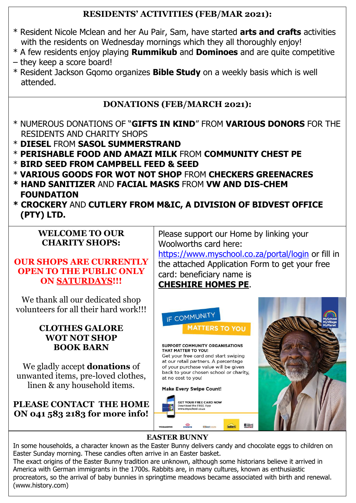## **RESIDENTS' ACTIVITIES (FEB/MAR 2021):**

- \* Resident Nicole Mclean and her Au Pair, Sam, have started **arts and crafts** activities with the residents on Wednesday mornings which they all thoroughly enjoy!
- \* A few residents enjoy playing **Rummikub** and **Dominoes** and are quite competitive
- they keep a score board!
- \* Resident Jackson Gqomo organizes **Bible Study** on a weekly basis which is well attended.

# **DONATIONS (FEB/MARCH 2021):**

- \* NUMEROUS DONATIONS OF "**GIFTS IN KIND**" FROM **VARIOUS DONORS** FOR THE RESIDENTS AND CHARITY SHOPS
- \* **DIESEL** FROM **SASOL SUMMERSTRAND**
- \* **PERISHABLE FOOD AND AMAZI MILK** FROM **COMMUNITY CHEST PE**
- \* **BIRD SEED FROM CAMPBELL FEED & SEED**
- \* **VARIOUS GOODS FOR WOT NOT SHOP** FROM **CHECKERS GREENACRES**
- **\* HAND SANITIZER** AND **FACIAL MASKS** FROM **VW AND DIS-CHEM FOUNDATION**
- **\* CROCKERY** AND **CUTLERY FROM M&IC, A DIVISION OF BIDVEST OFFICE (PTY) LTD.**

## **WELCOME TO OUR CHARITY SHOPS:**

#### **OUR SHOPS ARE CURRENTLY OPEN TO THE PUBLIC ONLY ON SATURDAYS!!!**

We thank all our dedicated shop volunteers for all their hard work!!!

#### **CLOTHES GALORE WOT NOT SHOP BOOK BARN**

We gladly accept **donations** of unwanted items, pre-loved clothes, linen & any household items.

#### **PLEASE CONTACT THE HOME ON 041 583 2183 for more info!**



## **CHESHIRE HOMES PE**.



## **EASTER BUNNY**

In some households, a character known as the Easter Bunny delivers candy and chocolate eggs to children on Easter Sunday morning. These candies often arrive in an Easter basket.

The exact origins of the Easter Bunny tradition are unknown, although some historians believe it arrived in America with German immigrants in the 1700s. Rabbits are, in many cultures, known as enthusiastic procreators, so the arrival of baby bunnies in springtime meadows became associated with birth and renewal. (www.history.com)